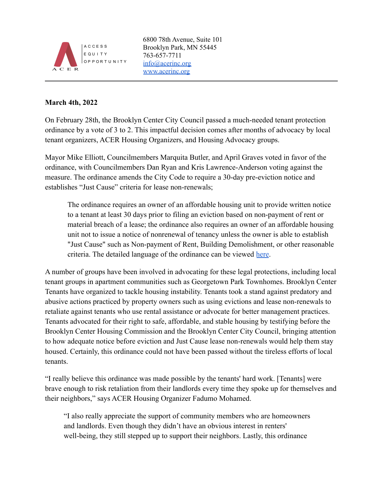

6800 78th Avenue, Suite 101 Brooklyn Park, MN 55445 763-657-7711 [info@acerinc.org](mailto:info@acerinc.org) [www.acerinc.org](http://www.acerinc.org)

## **March 4th, 2022**

On February 28th, the Brooklyn Center City Council passed a much-needed tenant protection ordinance by a vote of 3 to 2. This impactful decision comes after months of advocacy by local tenant organizers, ACER Housing Organizers, and Housing Advocacy groups.

Mayor Mike Elliott, Councilmembers Marquita Butler, and April Graves voted in favor of the ordinance, with Councilmembers Dan Ryan and Kris Lawrence-Anderson voting against the measure. The ordinance amends the City Code to require a 30-day pre-eviction notice and establishes "Just Cause" criteria for lease non-renewals;

The ordinance requires an owner of an affordable housing unit to provide written notice to a tenant at least 30 days prior to filing an eviction based on non-payment of rent or material breach of a lease; the ordinance also requires an owner of an affordable housing unit not to issue a notice of nonrenewal of tenancy unless the owner is able to establish "Just Cause" such as Non-payment of Rent, Building Demolishment, or other reasonable criteria. The detailed language of the ordinance can be viewed [here](https://www.ci.brooklyn-center.mn.us/home/showpublisheddocument/1745/637720018726770000).

A number of groups have been involved in advocating for these legal protections, including local tenant groups in apartment communities such as Georgetown Park Townhomes. Brooklyn Center Tenants have organized to tackle housing instability. Tenants took a stand against predatory and abusive actions practiced by property owners such as using evictions and lease non-renewals to retaliate against tenants who use rental assistance or advocate for better management practices. Tenants advocated for their right to safe, affordable, and stable housing by testifying before the Brooklyn Center Housing Commission and the Brooklyn Center City Council, bringing attention to how adequate notice before eviction and Just Cause lease non-renewals would help them stay housed. Certainly, this ordinance could not have been passed without the tireless efforts of local tenants.

"I really believe this ordinance was made possible by the tenants' hard work. [Tenants] were brave enough to risk retaliation from their landlords every time they spoke up for themselves and their neighbors," says ACER Housing Organizer Fadumo Mohamed.

"I also really appreciate the support of community members who are homeowners and landlords. Even though they didn't have an obvious interest in renters' well-being, they still stepped up to support their neighbors. Lastly, this ordinance